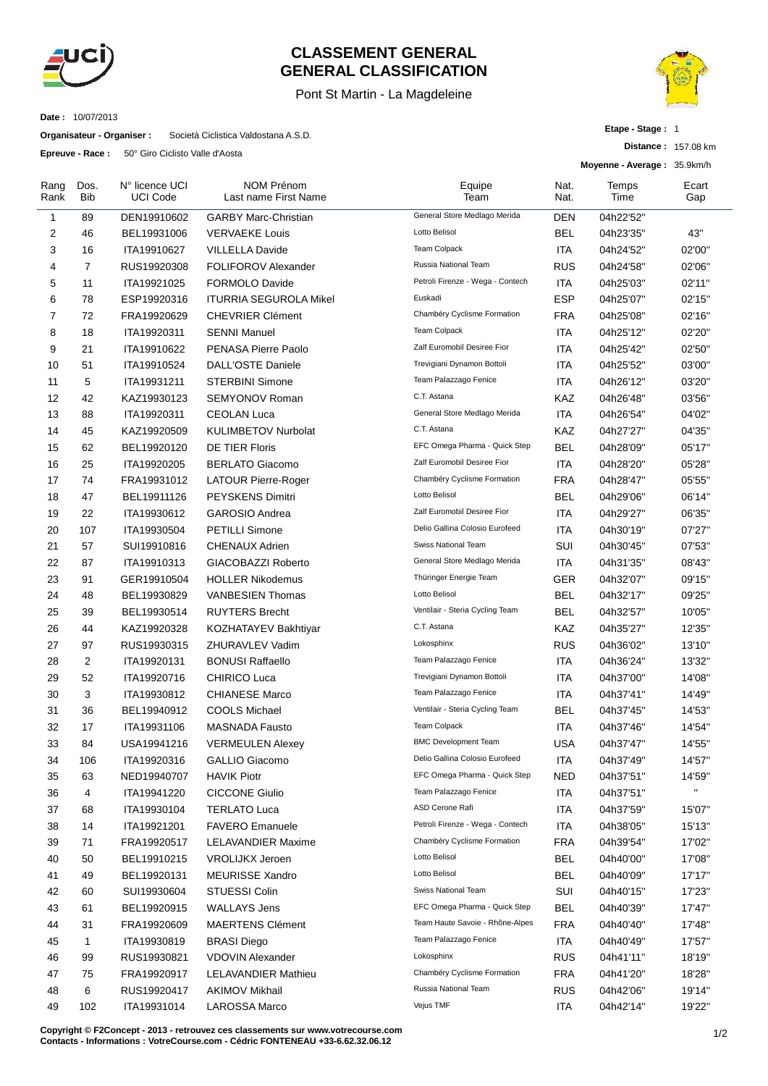

## **CLASSEMENT GENERAL GENERAL CLASSIFICATION**

## Pont St Martin - La Magdeleine



**Distance :** 157.08 km

**Etape - Stage :** 1

**Date :** 10/07/2013

**Organisateur - Organiser :** Società Ciclistica Valdostana A.S.D.

**Epreuve - Race :** 50° Giro Ciclisto Valle d'Aosta

|                |              |                                   |                                           |                                  |              | Moyenne - Average: 35.9km/h |              |  |
|----------------|--------------|-----------------------------------|-------------------------------------------|----------------------------------|--------------|-----------------------------|--------------|--|
| Rang<br>Rank   | Dos.<br>Bib  | N° licence UCI<br><b>UCI Code</b> | <b>NOM Prénom</b><br>Last name First Name | Equipe<br>Team                   | Nat.<br>Nat. | Temps<br>Time               | Ecart<br>Gap |  |
| 1              | 89           | DEN19910602                       | <b>GARBY Marc-Christian</b>               | General Store Medlago Merida     | DEN          | 04h22'52"                   |              |  |
| 2              | 46           | BEL19931006                       | <b>VERVAEKE Louis</b>                     | Lotto Belisol                    | BEL          | 04h23'35"                   | 43"          |  |
| 3              | 16           | ITA19910627                       | <b>VILLELLA Davide</b>                    | <b>Team Colpack</b>              | ITA          | 04h24'52"                   | 02'00"       |  |
| 4              | 7            | RUS19920308                       | <b>FOLIFOROV Alexander</b>                | Russia National Team             | RUS          | 04h24'58"                   | 02'06"       |  |
| 5              | 11           | ITA19921025                       | <b>FORMOLO Davide</b>                     | Petroli Firenze - Wega - Contech | ITA          | 04h25'03"                   | 02'11"       |  |
| 6              | 78           | ESP19920316                       | <b>ITURRIA SEGUROLA Mikel</b>             | Euskadi                          | <b>ESP</b>   | 04h25'07"                   | 02'15"       |  |
| $\overline{7}$ | 72           | FRA19920629                       | <b>CHEVRIER Clément</b>                   | Chambéry Cyclisme Formation      | <b>FRA</b>   | 04h25'08"                   | 02'16"       |  |
| 8              | 18           | ITA19920311                       | <b>SENNI Manuel</b>                       | <b>Team Colpack</b>              | ITA          | 04h25'12"                   | 02'20"       |  |
| 9              | 21           | ITA19910622                       | PENASA Pierre Paolo                       | Zalf Euromobil Desiree Fior      | ITA          | 04h25'42"                   | 02'50"       |  |
| 10             | 51           | ITA19910524                       | <b>DALL'OSTE Daniele</b>                  | Trevigiani Dynamon Bottoli       | ITA          | 04h25'52"                   | 03'00"       |  |
| 11             | 5            | ITA19931211                       | <b>STERBINI Simone</b>                    | Team Palazzago Fenice            | ITA          | 04h26'12"                   | 03'20"       |  |
| 12             | 42           | KAZ19930123                       | SEMYONOV Roman                            | C.T. Astana                      | KAZ          | 04h26'48"                   | 03'56"       |  |
| 13             | 88           | ITA19920311                       | <b>CEOLAN Luca</b>                        | General Store Medlago Merida     | <b>ITA</b>   | 04h26'54"                   | 04'02"       |  |
| 14             | 45           | KAZ19920509                       | <b>KULIMBETOV Nurbolat</b>                | C.T. Astana                      | KAZ          | 04h27'27"                   | 04'35"       |  |
| 15             | 62           | BEL19920120                       | DE TIER Floris                            | EFC Omega Pharma - Quick Step    | <b>BEL</b>   | 04h28'09"                   | 05'17"       |  |
| 16             | 25           | ITA19920205                       | <b>BERLATO Giacomo</b>                    | Zalf Euromobil Desiree Fior      | <b>ITA</b>   | 04h28'20"                   | 05'28"       |  |
| 17             | 74           | FRA19931012                       | <b>LATOUR Pierre-Roger</b>                | Chambéry Cyclisme Formation      | <b>FRA</b>   | 04h28'47"                   | 05'55"       |  |
| 18             | 47           | BEL19911126                       | <b>PEYSKENS Dimitri</b>                   | Lotto Belisol                    | BEL          | 04h29'06"                   | 06'14"       |  |
| 19             | 22           | ITA19930612                       | <b>GAROSIO Andrea</b>                     | Zalf Euromobil Desiree Fior      | ITA          | 04h29'27"                   | 06'35"       |  |
| 20             | 107          | ITA19930504                       | <b>PETILLI Simone</b>                     | Delio Gallina Colosio Eurofeed   | ITA          | 04h30'19"                   | 07'27"       |  |
| 21             | 57           | SUI19910816                       | CHENAUX Adrien                            | Swiss National Team              | SUI          | 04h30'45"                   | 07'53"       |  |
| 22             | 87           | ITA19910313                       | GIACOBAZZI Roberto                        | General Store Medlago Merida     | ITA          | 04h31'35"                   | 08'43"       |  |
| 23             | 91           | GER19910504                       | <b>HOLLER Nikodemus</b>                   | Thüringer Energie Team           | GER          | 04h32'07"                   | 09'15"       |  |
| 24             | 48           | BEL19930829                       | <b>VANBESIEN Thomas</b>                   | Lotto Belisol                    | <b>BEL</b>   | 04h32'17"                   | 09'25"       |  |
| 25             | 39           | BEL19930514                       | <b>RUYTERS Brecht</b>                     | Ventilair - Steria Cycling Team  | <b>BEL</b>   | 04h32'57"                   | 10'05"       |  |
| 26             | 44           | KAZ19920328                       | KOZHATAYEV Bakhtiyar                      | C.T. Astana                      | KAZ          | 04h35'27"                   | 12'35"       |  |
| 27             | 97           | RUS19930315                       | <b>ZHURAVLEV Vadim</b>                    | Lokosphinx                       | <b>RUS</b>   | 04h36'02"                   | 13'10"       |  |
| 28             | 2            | ITA19920131                       | <b>BONUSI Raffaello</b>                   | Team Palazzago Fenice            | ITA          | 04h36'24"                   | 13'32"       |  |
| 29             | 52           | ITA19920716                       | CHIRICO Luca                              | Trevigiani Dynamon Bottoli       | <b>ITA</b>   | 04h37'00"                   | 14'08"       |  |
| 30             | 3            | ITA19930812                       | <b>CHIANESE Marco</b>                     | Team Palazzago Fenice            | ITA          | 04h37'41"                   | 14'49"       |  |
| 31             | 36           | BEL19940912                       | <b>COOLS Michael</b>                      | Ventilair - Steria Cycling Team  | BEL          | 04h37'45"                   | 14'53"       |  |
| 32             | 17           | ITA19931106                       | <b>MASNADA Fausto</b>                     | Team Colpack                     | ITA          | 04h37'46"                   | 14'54"       |  |
| 33             | 84           | USA19941216                       | <b>VERMEULEN Alexey</b>                   | <b>BMC Development Team</b>      | <b>USA</b>   | 04h37'47"                   | 14'55"       |  |
| 34             | 106          | ITA19920316                       | <b>GALLIO Giacomo</b>                     | Delio Gallina Colosio Eurofeed   | <b>ITA</b>   | 04h37'49"                   | 14'57"       |  |
| 35             | 63           | NED19940707                       | <b>HAVIK Piotr</b>                        | EFC Omega Pharma - Quick Step    | <b>NED</b>   | 04h37'51"                   | 14'59"       |  |
| 36             | 4            | ITA19941220                       | <b>CICCONE Giulio</b>                     | Team Palazzago Fenice            | <b>ITA</b>   | 04h37'51"                   | $\mathbf{u}$ |  |
| 37             | 68           | ITA19930104                       | <b>TERLATO Luca</b>                       | ASD Cerone Rafi                  | <b>ITA</b>   | 04h37'59"                   | 15'07"       |  |
| 38             | 14           | ITA19921201                       | <b>FAVERO Emanuele</b>                    | Petroli Firenze - Wega - Contech | <b>ITA</b>   | 04h38'05"                   | 15'13"       |  |
| 39             | 71           | FRA19920517                       | <b>LELAVANDIER Maxime</b>                 | Chambéry Cyclisme Formation      | <b>FRA</b>   | 04h39'54"                   | 17'02"       |  |
| 40             | 50           | BEL19910215                       | <b>VROLIJKX Jeroen</b>                    | Lotto Belisol                    | <b>BEL</b>   | 04h40'00"                   | 17'08"       |  |
| 41             | 49           | BEL19920131                       | <b>MEURISSE Xandro</b>                    | Lotto Belisol                    | <b>BEL</b>   | 04h40'09"                   | 17'17"       |  |
| 42             | 60           | SUI19930604                       | STUESSI Colin                             | Swiss National Team              | SUI          | 04h40'15"                   | 17'23"       |  |
| 43             | 61           | BEL19920915                       | <b>WALLAYS Jens</b>                       | EFC Omega Pharma - Quick Step    | <b>BEL</b>   | 04h40'39"                   | 17'47"       |  |
| 44             | 31           | FRA19920609                       | <b>MAERTENS Clément</b>                   | Team Haute Savoie - Rhône-Alpes  | <b>FRA</b>   | 04h40'40"                   | 17'48"       |  |
| 45             | $\mathbf{1}$ | ITA19930819                       | <b>BRASI Diego</b>                        | Team Palazzago Fenice            | <b>ITA</b>   | 04h40'49"                   | 17'57"       |  |
| 46             | 99           | RUS19930821                       | <b>VDOVIN Alexander</b>                   | Lokosphinx                       | <b>RUS</b>   | 04h41'11"                   | 18'19"       |  |
| 47             | 75           | FRA19920917                       | <b>LELAVANDIER Mathieu</b>                | Chambéry Cyclisme Formation      | <b>FRA</b>   | 04h41'20"                   | 18'28"       |  |
| 48             | 6            | RUS19920417                       | <b>AKIMOV Mikhail</b>                     | Russia National Team             | <b>RUS</b>   | 04h42'06"                   | 19'14"       |  |
| 49             | 102          | ITA19931014                       | LAROSSA Marco                             | Vejus TMF                        | <b>ITA</b>   | 04h42'14"                   | 19'22"       |  |
|                |              |                                   |                                           |                                  |              |                             |              |  |

**Copyright © F2Concept - 2013 - retrouvez ces classements sur www.votrecourse.com Contacts - Informations : VotreCourse.com - Cédric FONTENEAU +33-6.62.32.06.12**